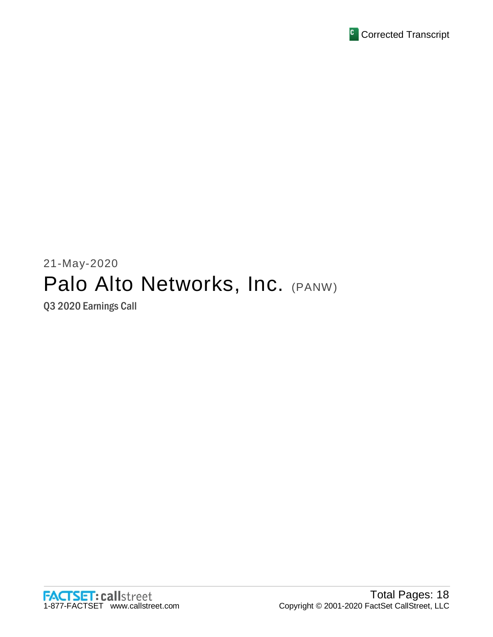

# 21-May-2020 Palo Alto Networks, Inc. (PANW)

Q3 2020 Earnings Call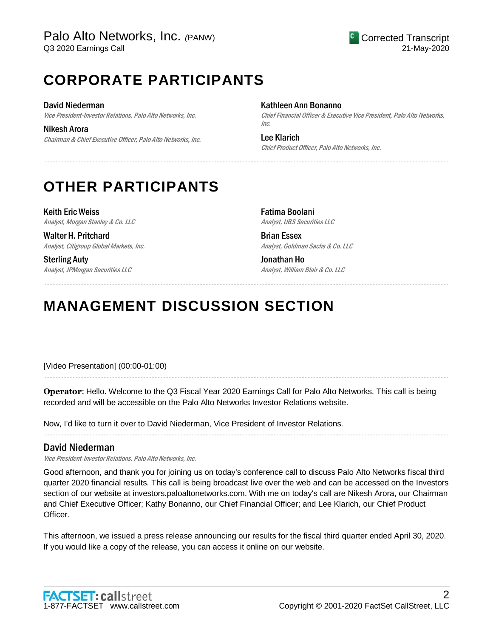## **CORPORATE PARTICIPANTS**

David Niederman Vice President-Investor Relations, Palo Alto Networks, Inc.

Nikesh Arora Chairman & Chief Executive Officer, Palo Alto Networks, Inc. Kathleen Ann Bonanno

Chief Financial Officer & Executive Vice President, Palo Alto Networks, Inc.

Lee Klarich Chief Product Officer, Palo Alto Networks, Inc.

## **OTHER PARTICIPANTS**

Keith Eric Weiss Analyst, Morgan Stanley & Co. LLC

Walter H. Pritchard Analyst, Citigroup Global Markets, Inc.

Sterling Auty Analyst, JPMorgan Securities LLC Fatima Boolani Analyst, UBS Securities LLC

Brian Essex Analyst, Goldman Sachs & Co. LLC

Jonathan Ho Analyst, William Blair & Co. LLC

## **MANAGEMENT DISCUSSION SECTION**

[Video Presentation] (00:00-01:00)

**Operator**: Hello. Welcome to the Q3 Fiscal Year 2020 Earnings Call for Palo Alto Networks. This call is being recorded and will be accessible on the Palo Alto Networks Investor Relations website.

.....................................................................................................................................................................................................................................................................

.....................................................................................................................................................................................................................................................................

.....................................................................................................................................................................................................................................................................

.....................................................................................................................................................................................................................................................................

Now, I'd like to turn it over to David Niederman, Vice President of Investor Relations.

## David Niederman

Vice President-Investor Relations, Palo Alto Networks, Inc.

Good afternoon, and thank you for joining us on today's conference call to discuss Palo Alto Networks fiscal third quarter 2020 financial results. This call is being broadcast live over the web and can be accessed on the Investors section of our website at investors.paloaltonetworks.com. With me on today's call are Nikesh Arora, our Chairman and Chief Executive Officer; Kathy Bonanno, our Chief Financial Officer; and Lee Klarich, our Chief Product Officer.

This afternoon, we issued a press release announcing our results for the fiscal third quarter ended April 30, 2020. If you would like a copy of the release, you can access it online on our website.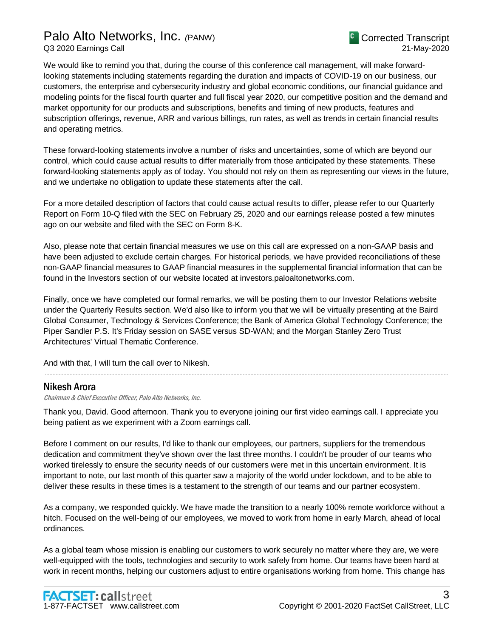## Palo Alto Networks, Inc. *(*PANW) Q3 2020 Earnings Call

We would like to remind you that, during the course of this conference call management, will make forwardlooking statements including statements regarding the duration and impacts of COVID-19 on our business, our customers, the enterprise and cybersecurity industry and global economic conditions, our financial guidance and modeling points for the fiscal fourth quarter and full fiscal year 2020, our competitive position and the demand and market opportunity for our products and subscriptions, benefits and timing of new products, features and subscription offerings, revenue, ARR and various billings, run rates, as well as trends in certain financial results and operating metrics.

These forward-looking statements involve a number of risks and uncertainties, some of which are beyond our control, which could cause actual results to differ materially from those anticipated by these statements. These forward-looking statements apply as of today. You should not rely on them as representing our views in the future, and we undertake no obligation to update these statements after the call.

For a more detailed description of factors that could cause actual results to differ, please refer to our Quarterly Report on Form 10-Q filed with the SEC on February 25, 2020 and our earnings release posted a few minutes ago on our website and filed with the SEC on Form 8-K.

Also, please note that certain financial measures we use on this call are expressed on a non-GAAP basis and have been adjusted to exclude certain charges. For historical periods, we have provided reconciliations of these non-GAAP financial measures to GAAP financial measures in the supplemental financial information that can be found in the Investors section of our website located at investors.paloaltonetworks.com.

Finally, once we have completed our formal remarks, we will be posting them to our Investor Relations website under the Quarterly Results section. We'd also like to inform you that we will be virtually presenting at the Baird Global Consumer, Technology & Services Conference; the Bank of America Global Technology Conference; the Piper Sandler P.S. It's Friday session on SASE versus SD-WAN; and the Morgan Stanley Zero Trust Architectures' Virtual Thematic Conference.

And with that, I will turn the call over to Nikesh.

### Nikesh Arora

Chairman & Chief Executive Officer, Palo Alto Networks, Inc.

Thank you, David. Good afternoon. Thank you to everyone joining our first video earnings call. I appreciate you being patient as we experiment with a Zoom earnings call.

.....................................................................................................................................................................................................................................................................

Before I comment on our results, I'd like to thank our employees, our partners, suppliers for the tremendous dedication and commitment they've shown over the last three months. I couldn't be prouder of our teams who worked tirelessly to ensure the security needs of our customers were met in this uncertain environment. It is important to note, our last month of this quarter saw a majority of the world under lockdown, and to be able to deliver these results in these times is a testament to the strength of our teams and our partner ecosystem.

As a company, we responded quickly. We have made the transition to a nearly 100% remote workforce without a hitch. Focused on the well-being of our employees, we moved to work from home in early March, ahead of local ordinances.

As a global team whose mission is enabling our customers to work securely no matter where they are, we were well-equipped with the tools, technologies and security to work safely from home. Our teams have been hard at work in recent months, helping our customers adjust to entire organisations working from home. This change has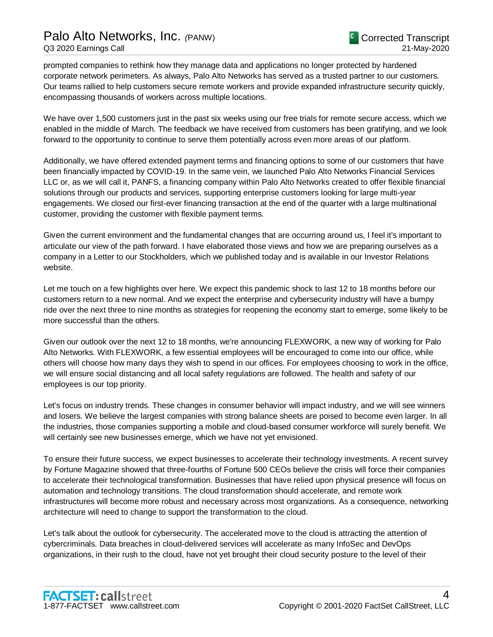prompted companies to rethink how they manage data and applications no longer protected by hardened corporate network perimeters. As always, Palo Alto Networks has served as a trusted partner to our customers. Our teams rallied to help customers secure remote workers and provide expanded infrastructure security quickly, encompassing thousands of workers across multiple locations.

We have over 1,500 customers just in the past six weeks using our free trials for remote secure access, which we enabled in the middle of March. The feedback we have received from customers has been gratifying, and we look forward to the opportunity to continue to serve them potentially across even more areas of our platform.

Additionally, we have offered extended payment terms and financing options to some of our customers that have been financially impacted by COVID-19. In the same vein, we launched Palo Alto Networks Financial Services LLC or, as we will call it, PANFS, a financing company within Palo Alto Networks created to offer flexible financial solutions through our products and services, supporting enterprise customers looking for large multi-year engagements. We closed our first-ever financing transaction at the end of the quarter with a large multinational customer, providing the customer with flexible payment terms.

Given the current environment and the fundamental changes that are occurring around us, I feel it's important to articulate our view of the path forward. I have elaborated those views and how we are preparing ourselves as a company in a Letter to our Stockholders, which we published today and is available in our Investor Relations website.

Let me touch on a few highlights over here. We expect this pandemic shock to last 12 to 18 months before our customers return to a new normal. And we expect the enterprise and cybersecurity industry will have a bumpy ride over the next three to nine months as strategies for reopening the economy start to emerge, some likely to be more successful than the others.

Given our outlook over the next 12 to 18 months, we're announcing FLEXWORK, a new way of working for Palo Alto Networks. With FLEXWORK, a few essential employees will be encouraged to come into our office, while others will choose how many days they wish to spend in our offices. For employees choosing to work in the office, we will ensure social distancing and all local safety regulations are followed. The health and safety of our employees is our top priority.

Let's focus on industry trends. These changes in consumer behavior will impact industry, and we will see winners and losers. We believe the largest companies with strong balance sheets are poised to become even larger. In all the industries, those companies supporting a mobile and cloud-based consumer workforce will surely benefit. We will certainly see new businesses emerge, which we have not yet envisioned.

To ensure their future success, we expect businesses to accelerate their technology investments. A recent survey by Fortune Magazine showed that three-fourths of Fortune 500 CEOs believe the crisis will force their companies to accelerate their technological transformation. Businesses that have relied upon physical presence will focus on automation and technology transitions. The cloud transformation should accelerate, and remote work infrastructures will become more robust and necessary across most organizations. As a consequence, networking architecture will need to change to support the transformation to the cloud.

Let's talk about the outlook for cybersecurity. The accelerated move to the cloud is attracting the attention of cybercriminals. Data breaches in cloud-delivered services will accelerate as many InfoSec and DevOps organizations, in their rush to the cloud, have not yet brought their cloud security posture to the level of their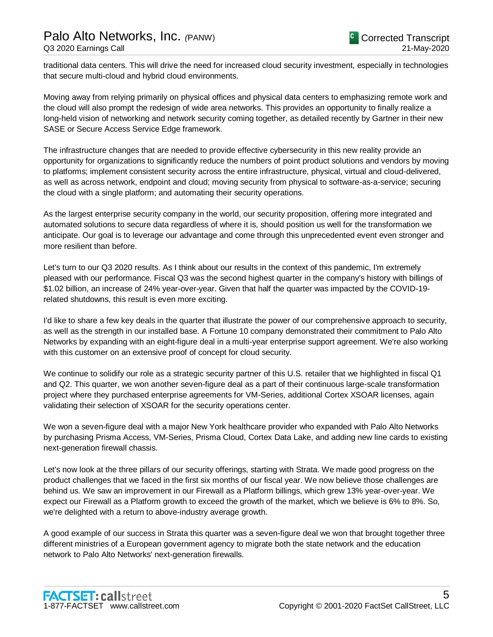traditional data centers. This will drive the need for increased cloud security investment, especially in technologies that secure multi-cloud and hybrid cloud environments.

Moving away from relying primarily on physical offices and physical data centers to emphasizing remote work and the cloud will also prompt the redesign of wide area networks. This provides an opportunity to finally realize a long-held vision of networking and network security coming together, as detailed recently by Gartner in their new SASE or Secure Access Service Edge framework.

The infrastructure changes that are needed to provide effective cybersecurity in this new reality provide an opportunity for organizations to significantly reduce the numbers of point product solutions and vendors by moving to platforms; implement consistent security across the entire infrastructure, physical, virtual and cloud-delivered, as well as across network, endpoint and cloud; moving security from physical to software-as-a-service; securing the cloud with a single platform; and automating their security operations.

As the largest enterprise security company in the world, our security proposition, offering more integrated and automated solutions to secure data regardless of where it is, should position us well for the transformation we anticipate. Our goal is to leverage our advantage and come through this unprecedented event even stronger and more resilient than before.

Let's turn to our Q3 2020 results. As I think about our results in the context of this pandemic, I'm extremely pleased with our performance. Fiscal Q3 was the second highest quarter in the company's history with billings of \$1.02 billion, an increase of 24% year-over-year. Given that half the quarter was impacted by the COVID-19 related shutdowns, this result is even more exciting.

I'd like to share a few key deals in the quarter that illustrate the power of our comprehensive approach to security, as well as the strength in our installed base. A Fortune 10 company demonstrated their commitment to Palo Alto Networks by expanding with an eight-figure deal in a multi-year enterprise support agreement. We're also working with this customer on an extensive proof of concept for cloud security.

We continue to solidify our role as a strategic security partner of this U.S. retailer that we highlighted in fiscal Q1 and Q2. This quarter, we won another seven-figure deal as a part of their continuous large-scale transformation project where they purchased enterprise agreements for VM-Series, additional Cortex XSOAR licenses, again validating their selection of XSOAR for the security operations center.

We won a seven-figure deal with a major New York healthcare provider who expanded with Palo Alto Networks by purchasing Prisma Access, VM-Series, Prisma Cloud, Cortex Data Lake, and adding new line cards to existing next-generation firewall chassis.

Let's now look at the three pillars of our security offerings, starting with Strata. We made good progress on the product challenges that we faced in the first six months of our fiscal year. We now believe those challenges are behind us. We saw an improvement in our Firewall as a Platform billings, which grew 13% year-over-year. We expect our Firewall as a Platform growth to exceed the growth of the market, which we believe is 6% to 8%. So, we're delighted with a return to above-industry average growth.

A good example of our success in Strata this quarter was a seven-figure deal we won that brought together three different ministries of a European government agency to migrate both the state network and the education network to Palo Alto Networks' next-generation firewalls.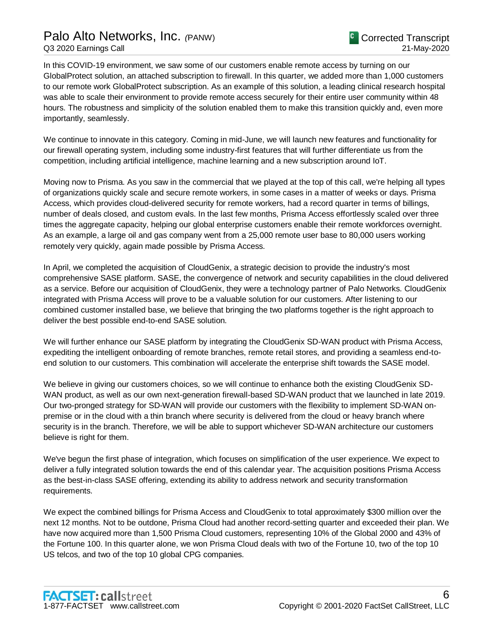## Palo Alto Networks, Inc. *(*PANW)

In this COVID-19 environment, we saw some of our customers enable remote access by turning on our GlobalProtect solution, an attached subscription to firewall. In this quarter, we added more than 1,000 customers to our remote work GlobalProtect subscription. As an example of this solution, a leading clinical research hospital was able to scale their environment to provide remote access securely for their entire user community within 48 hours. The robustness and simplicity of the solution enabled them to make this transition quickly and, even more importantly, seamlessly.

We continue to innovate in this category. Coming in mid-June, we will launch new features and functionality for our firewall operating system, including some industry-first features that will further differentiate us from the competition, including artificial intelligence, machine learning and a new subscription around IoT.

Moving now to Prisma. As you saw in the commercial that we played at the top of this call, we're helping all types of organizations quickly scale and secure remote workers, in some cases in a matter of weeks or days. Prisma Access, which provides cloud-delivered security for remote workers, had a record quarter in terms of billings, number of deals closed, and custom evals. In the last few months, Prisma Access effortlessly scaled over three times the aggregate capacity, helping our global enterprise customers enable their remote workforces overnight. As an example, a large oil and gas company went from a 25,000 remote user base to 80,000 users working remotely very quickly, again made possible by Prisma Access.

In April, we completed the acquisition of CloudGenix, a strategic decision to provide the industry's most comprehensive SASE platform. SASE, the convergence of network and security capabilities in the cloud delivered as a service. Before our acquisition of CloudGenix, they were a technology partner of Palo Networks. CloudGenix integrated with Prisma Access will prove to be a valuable solution for our customers. After listening to our combined customer installed base, we believe that bringing the two platforms together is the right approach to deliver the best possible end-to-end SASE solution.

We will further enhance our SASE platform by integrating the CloudGenix SD-WAN product with Prisma Access, expediting the intelligent onboarding of remote branches, remote retail stores, and providing a seamless end-toend solution to our customers. This combination will accelerate the enterprise shift towards the SASE model.

We believe in giving our customers choices, so we will continue to enhance both the existing CloudGenix SD-WAN product, as well as our own next-generation firewall-based SD-WAN product that we launched in late 2019. Our two-pronged strategy for SD-WAN will provide our customers with the flexibility to implement SD-WAN onpremise or in the cloud with a thin branch where security is delivered from the cloud or heavy branch where security is in the branch. Therefore, we will be able to support whichever SD-WAN architecture our customers believe is right for them.

We've begun the first phase of integration, which focuses on simplification of the user experience. We expect to deliver a fully integrated solution towards the end of this calendar year. The acquisition positions Prisma Access as the best-in-class SASE offering, extending its ability to address network and security transformation requirements.

We expect the combined billings for Prisma Access and CloudGenix to total approximately \$300 million over the next 12 months. Not to be outdone, Prisma Cloud had another record-setting quarter and exceeded their plan. We have now acquired more than 1,500 Prisma Cloud customers, representing 10% of the Global 2000 and 43% of the Fortune 100. In this quarter alone, we won Prisma Cloud deals with two of the Fortune 10, two of the top 10 US telcos, and two of the top 10 global CPG companies.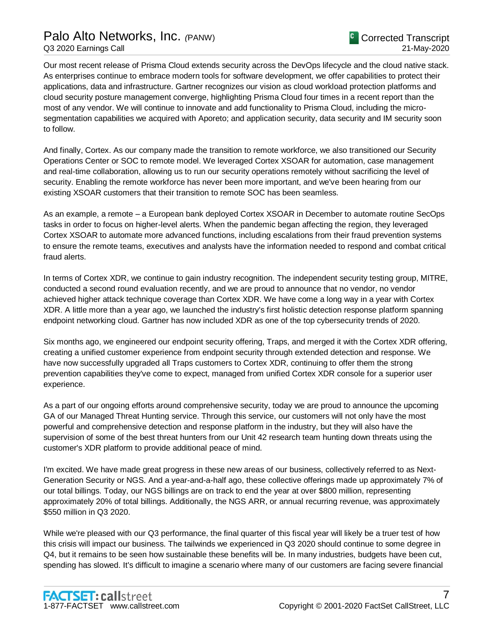Our most recent release of Prisma Cloud extends security across the DevOps lifecycle and the cloud native stack. As enterprises continue to embrace modern tools for software development, we offer capabilities to protect their applications, data and infrastructure. Gartner recognizes our vision as cloud workload protection platforms and cloud security posture management converge, highlighting Prisma Cloud four times in a recent report than the most of any vendor. We will continue to innovate and add functionality to Prisma Cloud, including the microsegmentation capabilities we acquired with Aporeto; and application security, data security and IM security soon to follow.

And finally, Cortex. As our company made the transition to remote workforce, we also transitioned our Security Operations Center or SOC to remote model. We leveraged Cortex XSOAR for automation, case management and real-time collaboration, allowing us to run our security operations remotely without sacrificing the level of security. Enabling the remote workforce has never been more important, and we've been hearing from our existing XSOAR customers that their transition to remote SOC has been seamless.

As an example, a remote – a European bank deployed Cortex XSOAR in December to automate routine SecOps tasks in order to focus on higher-level alerts. When the pandemic began affecting the region, they leveraged Cortex XSOAR to automate more advanced functions, including escalations from their fraud prevention systems to ensure the remote teams, executives and analysts have the information needed to respond and combat critical fraud alerts.

In terms of Cortex XDR, we continue to gain industry recognition. The independent security testing group, MITRE, conducted a second round evaluation recently, and we are proud to announce that no vendor, no vendor achieved higher attack technique coverage than Cortex XDR. We have come a long way in a year with Cortex XDR. A little more than a year ago, we launched the industry's first holistic detection response platform spanning endpoint networking cloud. Gartner has now included XDR as one of the top cybersecurity trends of 2020.

Six months ago, we engineered our endpoint security offering, Traps, and merged it with the Cortex XDR offering, creating a unified customer experience from endpoint security through extended detection and response. We have now successfully upgraded all Traps customers to Cortex XDR, continuing to offer them the strong prevention capabilities they've come to expect, managed from unified Cortex XDR console for a superior user experience.

As a part of our ongoing efforts around comprehensive security, today we are proud to announce the upcoming GA of our Managed Threat Hunting service. Through this service, our customers will not only have the most powerful and comprehensive detection and response platform in the industry, but they will also have the supervision of some of the best threat hunters from our Unit 42 research team hunting down threats using the customer's XDR platform to provide additional peace of mind.

I'm excited. We have made great progress in these new areas of our business, collectively referred to as Next-Generation Security or NGS. And a year-and-a-half ago, these collective offerings made up approximately 7% of our total billings. Today, our NGS billings are on track to end the year at over \$800 million, representing approximately 20% of total billings. Additionally, the NGS ARR, or annual recurring revenue, was approximately \$550 million in Q3 2020.

While we're pleased with our Q3 performance, the final quarter of this fiscal year will likely be a truer test of how this crisis will impact our business. The tailwinds we experienced in Q3 2020 should continue to some degree in Q4, but it remains to be seen how sustainable these benefits will be. In many industries, budgets have been cut, spending has slowed. It's difficult to imagine a scenario where many of our customers are facing severe financial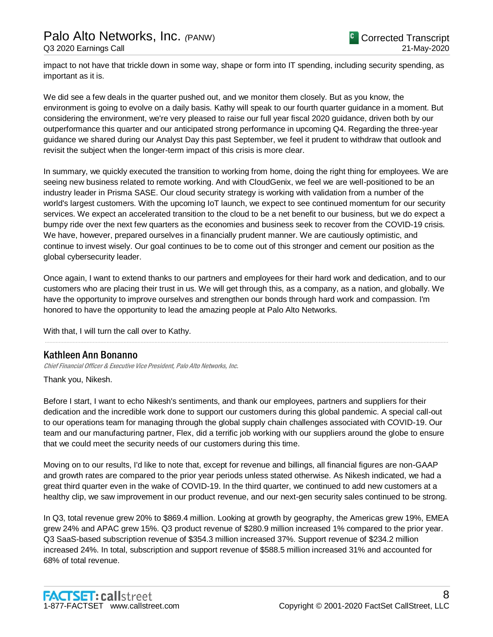impact to not have that trickle down in some way, shape or form into IT spending, including security spending, as important as it is.

We did see a few deals in the quarter pushed out, and we monitor them closely. But as you know, the environment is going to evolve on a daily basis. Kathy will speak to our fourth quarter guidance in a moment. But considering the environment, we're very pleased to raise our full year fiscal 2020 guidance, driven both by our outperformance this quarter and our anticipated strong performance in upcoming Q4. Regarding the three-year guidance we shared during our Analyst Day this past September, we feel it prudent to withdraw that outlook and revisit the subject when the longer-term impact of this crisis is more clear.

In summary, we quickly executed the transition to working from home, doing the right thing for employees. We are seeing new business related to remote working. And with CloudGenix, we feel we are well-positioned to be an industry leader in Prisma SASE. Our cloud security strategy is working with validation from a number of the world's largest customers. With the upcoming IoT launch, we expect to see continued momentum for our security services. We expect an accelerated transition to the cloud to be a net benefit to our business, but we do expect a bumpy ride over the next few quarters as the economies and business seek to recover from the COVID-19 crisis. We have, however, prepared ourselves in a financially prudent manner. We are cautiously optimistic, and continue to invest wisely. Our goal continues to be to come out of this stronger and cement our position as the global cybersecurity leader.

Once again, I want to extend thanks to our partners and employees for their hard work and dedication, and to our customers who are placing their trust in us. We will get through this, as a company, as a nation, and globally. We have the opportunity to improve ourselves and strengthen our bonds through hard work and compassion. I'm honored to have the opportunity to lead the amazing people at Palo Alto Networks.

.....................................................................................................................................................................................................................................................................

With that, I will turn the call over to Kathy.

### Kathleen Ann Bonanno

Chief Financial Officer & Executive Vice President, Palo Alto Networks, Inc.

Thank you, Nikesh.

Before I start, I want to echo Nikesh's sentiments, and thank our employees, partners and suppliers for their dedication and the incredible work done to support our customers during this global pandemic. A special call-out to our operations team for managing through the global supply chain challenges associated with COVID-19. Our team and our manufacturing partner, Flex, did a terrific job working with our suppliers around the globe to ensure that we could meet the security needs of our customers during this time.

Moving on to our results, I'd like to note that, except for revenue and billings, all financial figures are non-GAAP and growth rates are compared to the prior year periods unless stated otherwise. As Nikesh indicated, we had a great third quarter even in the wake of COVID-19. In the third quarter, we continued to add new customers at a healthy clip, we saw improvement in our product revenue, and our next-gen security sales continued to be strong.

In Q3, total revenue grew 20% to \$869.4 million. Looking at growth by geography, the Americas grew 19%, EMEA grew 24% and APAC grew 15%. Q3 product revenue of \$280.9 million increased 1% compared to the prior year. Q3 SaaS-based subscription revenue of \$354.3 million increased 37%. Support revenue of \$234.2 million increased 24%. In total, subscription and support revenue of \$588.5 million increased 31% and accounted for 68% of total revenue.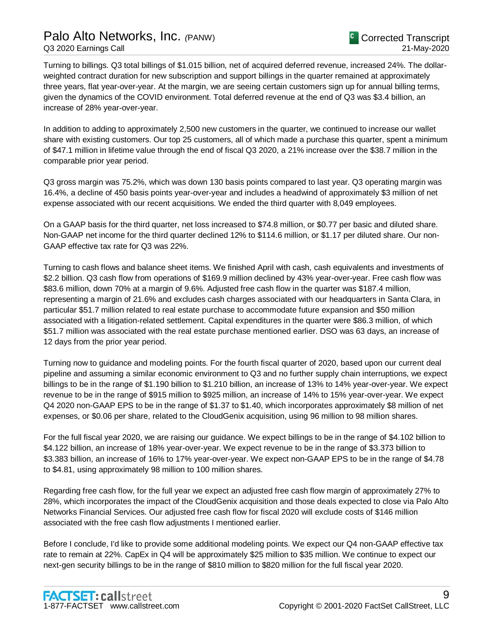## Palo Alto Networks, Inc. *(*PANW) Q3 2020 Earnings Call

Turning to billings. Q3 total billings of \$1.015 billion, net of acquired deferred revenue, increased 24%. The dollarweighted contract duration for new subscription and support billings in the quarter remained at approximately three years, flat year-over-year. At the margin, we are seeing certain customers sign up for annual billing terms, given the dynamics of the COVID environment. Total deferred revenue at the end of Q3 was \$3.4 billion, an increase of 28% year-over-year.

In addition to adding to approximately 2,500 new customers in the quarter, we continued to increase our wallet share with existing customers. Our top 25 customers, all of which made a purchase this quarter, spent a minimum of \$47.1 million in lifetime value through the end of fiscal Q3 2020, a 21% increase over the \$38.7 million in the comparable prior year period.

Q3 gross margin was 75.2%, which was down 130 basis points compared to last year. Q3 operating margin was 16.4%, a decline of 450 basis points year-over-year and includes a headwind of approximately \$3 million of net expense associated with our recent acquisitions. We ended the third quarter with 8,049 employees.

On a GAAP basis for the third quarter, net loss increased to \$74.8 million, or \$0.77 per basic and diluted share. Non-GAAP net income for the third quarter declined 12% to \$114.6 million, or \$1.17 per diluted share. Our non-GAAP effective tax rate for Q3 was 22%.

Turning to cash flows and balance sheet items. We finished April with cash, cash equivalents and investments of \$2.2 billion. Q3 cash flow from operations of \$169.9 million declined by 43% year-over-year. Free cash flow was \$83.6 million, down 70% at a margin of 9.6%. Adjusted free cash flow in the quarter was \$187.4 million, representing a margin of 21.6% and excludes cash charges associated with our headquarters in Santa Clara, in particular \$51.7 million related to real estate purchase to accommodate future expansion and \$50 million associated with a litigation-related settlement. Capital expenditures in the quarter were \$86.3 million, of which \$51.7 million was associated with the real estate purchase mentioned earlier. DSO was 63 days, an increase of 12 days from the prior year period.

Turning now to guidance and modeling points. For the fourth fiscal quarter of 2020, based upon our current deal pipeline and assuming a similar economic environment to Q3 and no further supply chain interruptions, we expect billings to be in the range of \$1.190 billion to \$1.210 billion, an increase of 13% to 14% year-over-year. We expect revenue to be in the range of \$915 million to \$925 million, an increase of 14% to 15% year-over-year. We expect Q4 2020 non-GAAP EPS to be in the range of \$1.37 to \$1.40, which incorporates approximately \$8 million of net expenses, or \$0.06 per share, related to the CloudGenix acquisition, using 96 million to 98 million shares.

For the full fiscal year 2020, we are raising our guidance. We expect billings to be in the range of \$4.102 billion to \$4.122 billion, an increase of 18% year-over-year. We expect revenue to be in the range of \$3.373 billion to \$3.383 billion, an increase of 16% to 17% year-over-year. We expect non-GAAP EPS to be in the range of \$4.78 to \$4.81, using approximately 98 million to 100 million shares.

Regarding free cash flow, for the full year we expect an adjusted free cash flow margin of approximately 27% to 28%, which incorporates the impact of the CloudGenix acquisition and those deals expected to close via Palo Alto Networks Financial Services. Our adjusted free cash flow for fiscal 2020 will exclude costs of \$146 million associated with the free cash flow adjustments I mentioned earlier.

Before I conclude, I'd like to provide some additional modeling points. We expect our Q4 non-GAAP effective tax rate to remain at 22%. CapEx in Q4 will be approximately \$25 million to \$35 million. We continue to expect our next-gen security billings to be in the range of \$810 million to \$820 million for the full fiscal year 2020.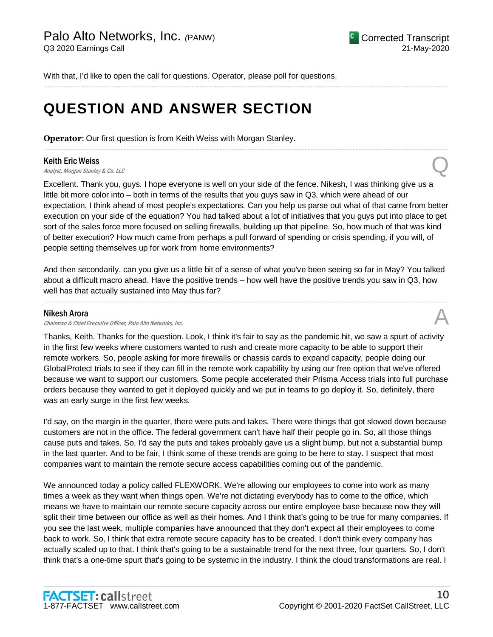With that, I'd like to open the call for questions. Operator, please poll for questions.

## **QUESTION AND ANSWER SECTION**

**Operator**: Our first question is from Keith Weiss with Morgan Stanley.

#### Keith Eric Weiss

**Keith Eric Weiss**<br>Analyst, Morgan Stanley & Co. LLC Quarter of Analyst, Morgan Stanley & Co. LLC

Excellent. Thank you, guys. I hope everyone is well on your side of the fence. Nikesh, I was thinking give us a little bit more color into – both in terms of the results that you guys saw in Q3, which were ahead of our expectation, I think ahead of most people's expectations. Can you help us parse out what of that came from better execution on your side of the equation? You had talked about a lot of initiatives that you guys put into place to get sort of the sales force more focused on selling firewalls, building up that pipeline. So, how much of that was kind of better execution? How much came from perhaps a pull forward of spending or crisis spending, if you will, of people setting themselves up for work from home environments?

.....................................................................................................................................................................................................................................................................

.....................................................................................................................................................................................................................................................................

And then secondarily, can you give us a little bit of a sense of what you've been seeing so far in May? You talked about a difficult macro ahead. Have the positive trends – how well have the positive trends you saw in Q3, how well has that actually sustained into May thus far?

.....................................................................................................................................................................................................................................................................

#### Nikesh Arora

Chairman & Chief Executive Officer, Palo Alto Networks, Inc.

Thanks, Keith. Thanks for the question. Look, I think it's fair to say as the pandemic hit, we saw a spurt of activity in the first few weeks where customers wanted to rush and create more capacity to be able to support their remote workers. So, people asking for more firewalls or chassis cards to expand capacity, people doing our GlobalProtect trials to see if they can fill in the remote work capability by using our free option that we've offered because we want to support our customers. Some people accelerated their Prisma Access trials into full purchase orders because they wanted to get it deployed quickly and we put in teams to go deploy it. So, definitely, there was an early surge in the first few weeks.

I'd say, on the margin in the quarter, there were puts and takes. There were things that got slowed down because customers are not in the office. The federal government can't have half their people go in. So, all those things cause puts and takes. So, I'd say the puts and takes probably gave us a slight bump, but not a substantial bump in the last quarter. And to be fair, I think some of these trends are going to be here to stay. I suspect that most companies want to maintain the remote secure access capabilities coming out of the pandemic.

We announced today a policy called FLEXWORK. We're allowing our employees to come into work as many times a week as they want when things open. We're not dictating everybody has to come to the office, which means we have to maintain our remote secure capacity across our entire employee base because now they will split their time between our office as well as their homes. And I think that's going to be true for many companies. If you see the last week, multiple companies have announced that they don't expect all their employees to come back to work. So, I think that extra remote secure capacity has to be created. I don't think every company has actually scaled up to that. I think that's going to be a sustainable trend for the next three, four quarters. So, I don't think that's a one-time spurt that's going to be systemic in the industry. I think the cloud transformations are real. I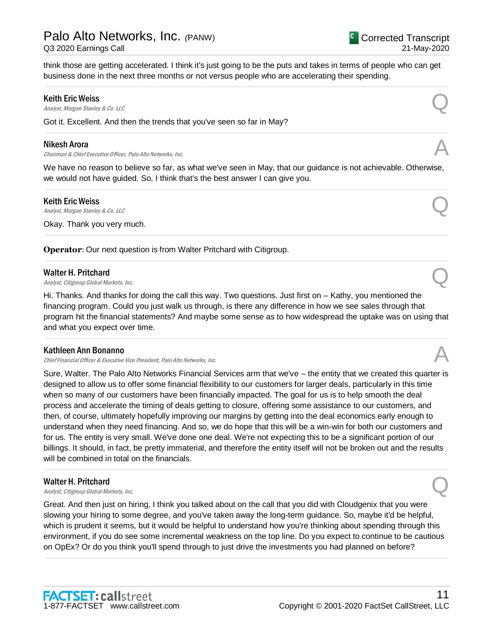think those are getting accelerated. I think it's just going to be the puts and takes in terms of people who can get business done in the next three months or not versus people who are accelerating their spending.

.....................................................................................................................................................................................................................................................................

.....................................................................................................................................................................................................................................................................

#### Keith Eric Weiss

**Keith Eric Weiss**<br>Analyst, Morgan Stanley & Co. LLC Quarter of Analyst, Morgan Stanley & Co. LLC

Got it. Excellent. And then the trends that you've seen so far in May?

#### Nikesh Arora

Chairman & Chief Executive Officer, Palo Alto Networks, Inc.

We have no reason to believe so far, as what we've seen in May, that our guidance is not achievable. Otherwise, we would not have guided. So, I think that's the best answer I can give you. .....................................................................................................................................................................................................................................................................

.....................................................................................................................................................................................................................................................................

.....................................................................................................................................................................................................................................................................

#### Keith Eric Weiss

**Keith Eric Weiss**<br>Analyst, Morgan Stanley & Co. LLC Quarter of Analyst, Morgan Stanley & Co. LLC

Okay. Thank you very much.

**Operator:** Our next question is from Walter Pritchard with Citigroup.

#### Walter H. Pritchard

Walter H. Pritchard  $\bigotimes$ <br>Analyst, Citigroup Global Markets, Inc.

Hi. Thanks. And thanks for doing the call this way. Two questions. Just first on – Kathy, you mentioned the financing program. Could you just walk us through, is there any difference in how we see sales through that program hit the financial statements? And maybe some sense as to how widespread the uptake was on using that and what you expect over time.

.....................................................................................................................................................................................................................................................................

#### Kathleen Ann Bonanno

Chief Financial Officer & Executive Vice President, Palo Alto Networks, Inc.

Sure, Walter. The Palo Alto Networks Financial Services arm that we've – the entity that we created this quarter is designed to allow us to offer some financial flexibility to our customers for larger deals, particularly in this time when so many of our customers have been financially impacted. The goal for us is to help smooth the deal process and accelerate the timing of deals getting to closure, offering some assistance to our customers, and then, of course, ultimately hopefully improving our margins by getting into the deal economics early enough to understand when they need financing. And so, we do hope that this will be a win-win for both our customers and for us. The entity is very small. We've done one deal. We're not expecting this to be a significant portion of our billings. It should, in fact, be pretty immaterial, and therefore the entity itself will not be broken out and the results will be combined in total on the financials.

.....................................................................................................................................................................................................................................................................

#### Walter H. Pritchard

Walter H. Pritchard  $\bigotimes$ <br>Analyst, Citigroup Global Markets, Inc.

Great. And then just on hiring, I think you talked about on the call that you did with Cloudgenix that you were slowing your hiring to some degree, and you've taken away the long-term guidance. So, maybe it'd be helpful, which is prudent it seems, but it would be helpful to understand how you're thinking about spending through this environment, if you do see some incremental weakness on the top line. Do you expect to continue to be cautious on OpEx? Or do you think you'll spend through to just drive the investments you had planned on before?

.....................................................................................................................................................................................................................................................................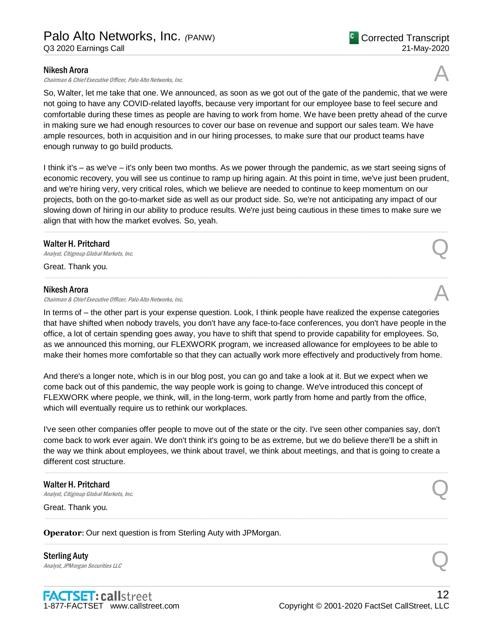Chairman & Chief Executive Officer, Palo Alto Networks, Inc.

So, Walter, let me take that one. We announced, as soon as we got out of the gate of the pandemic, that we were not going to have any COVID-related layoffs, because very important for our employee base to feel secure and comfortable during these times as people are having to work from home. We have been pretty ahead of the curve in making sure we had enough resources to cover our base on revenue and support our sales team. We have ample resources, both in acquisition and in our hiring processes, to make sure that our product teams have enough runway to go build products.

I think it's – as we've – it's only been two months. As we power through the pandemic, as we start seeing signs of economic recovery, you will see us continue to ramp up hiring again. At this point in time, we've just been prudent, and we're hiring very, very critical roles, which we believe are needed to continue to keep momentum on our projects, both on the go-to-market side as well as our product side. So, we're not anticipating any impact of our slowing down of hiring in our ability to produce results. We're just being cautious in these times to make sure we align that with how the market evolves. So, yeah.

.....................................................................................................................................................................................................................................................................

.....................................................................................................................................................................................................................................................................

#### Walter H. Pritchard

Walter H. Pritchard  $\bigotimes$ <br>Analyst, Citigroup Global Markets, Inc.

Great. Thank you.

#### Nikesh Arora

Chairman & Chief Executive Officer, Palo Alto Networks, Inc.

In terms of – the other part is your expense question. Look, I think people have realized the expense categories that have shifted when nobody travels, you don't have any face-to-face conferences, you don't have people in the office, a lot of certain spending goes away, you have to shift that spend to provide capability for employees. So, as we announced this morning, our FLEXWORK program, we increased allowance for employees to be able to make their homes more comfortable so that they can actually work more effectively and productively from home.

And there's a longer note, which is in our blog post, you can go and take a look at it. But we expect when we come back out of this pandemic, the way people work is going to change. We've introduced this concept of FLEXWORK where people, we think, will, in the long-term, work partly from home and partly from the office, which will eventually require us to rethink our workplaces.

I've seen other companies offer people to move out of the state or the city. I've seen other companies say, don't come back to work ever again. We don't think it's going to be as extreme, but we do believe there'll be a shift in the way we think about employees, we think about travel, we think about meetings, and that is going to create a different cost structure.

.....................................................................................................................................................................................................................................................................

.....................................................................................................................................................................................................................................................................

.....................................................................................................................................................................................................................................................................

### Walter H. Pritchard Walter H. Pritchard  $\bigotimes$ <br>Analyst, Citigroup Global Markets, Inc.

Great. Thank you.

**Operator**: Our next question is from Sterling Auty with JPMorgan.

Sterling Auty Sterling Auty<br>
Analyst, JPMorgan Securities LLC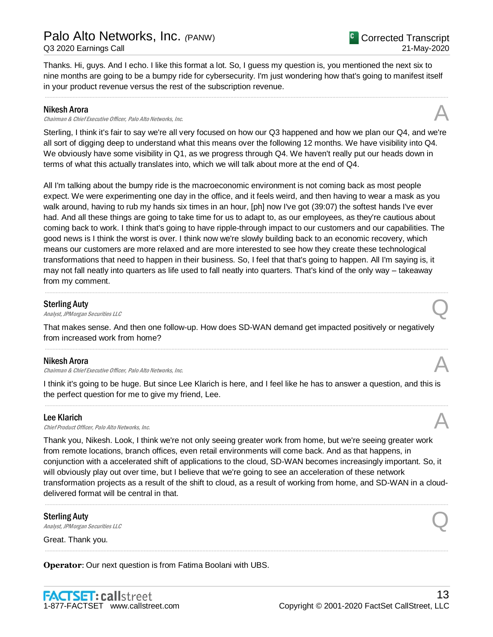Thanks. Hi, guys. And I echo. I like this format a lot. So, I guess my question is, you mentioned the next six to nine months are going to be a bumpy ride for cybersecurity. I'm just wondering how that's going to manifest itself in your product revenue versus the rest of the subscription revenue.

.....................................................................................................................................................................................................................................................................

#### Nikesh Arora

Chairman & Chief Executive Officer, Palo Alto Networks, Inc.

Sterling, I think it's fair to say we're all very focused on how our Q3 happened and how we plan our Q4, and we're all sort of digging deep to understand what this means over the following 12 months. We have visibility into Q4. We obviously have some visibility in Q1, as we progress through Q4. We haven't really put our heads down in terms of what this actually translates into, which we will talk about more at the end of Q4.

All I'm talking about the bumpy ride is the macroeconomic environment is not coming back as most people expect. We were experimenting one day in the office, and it feels weird, and then having to wear a mask as you walk around, having to rub my hands six times in an hour, [ph] now I've got (39:07) the softest hands I've ever had. And all these things are going to take time for us to adapt to, as our employees, as they're cautious about coming back to work. I think that's going to have ripple-through impact to our customers and our capabilities. The good news is I think the worst is over. I think now we're slowly building back to an economic recovery, which means our customers are more relaxed and are more interested to see how they create these technological transformations that need to happen in their business. So, I feel that that's going to happen. All I'm saying is, it may not fall neatly into quarters as life used to fall neatly into quarters. That's kind of the only way – takeaway from my comment.

.....................................................................................................................................................................................................................................................................

#### Sterling Auty

Sterling Auty<br>
Analyst, JPMorgan Securities LLC

That makes sense. And then one follow-up. How does SD-WAN demand get impacted positively or negatively from increased work from home?

.....................................................................................................................................................................................................................................................................

#### Nikesh Arora

Chairman & Chief Executive Officer, Palo Alto Networks, Inc.

I think it's going to be huge. But since Lee Klarich is here, and I feel like he has to answer a question, and this is the perfect question for me to give my friend, Lee.

.....................................................................................................................................................................................................................................................................

#### Lee Klarich

**Lee Klarich**<br>Chief Product Officer, Palo Alto Networks, Inc.  $\mathcal{A}$ 

Thank you, Nikesh. Look, I think we're not only seeing greater work from home, but we're seeing greater work from remote locations, branch offices, even retail environments will come back. And as that happens, in conjunction with a accelerated shift of applications to the cloud, SD-WAN becomes increasingly important. So, it will obviously play out over time, but I believe that we're going to see an acceleration of these network transformation projects as a result of the shift to cloud, as a result of working from home, and SD-WAN in a clouddelivered format will be central in that.

.....................................................................................................................................................................................................................................................................

.....................................................................................................................................................................................................................................................................

Sterling Auty Sterling Auty<br>
Analyst, JPMorgan Securities LLC

Great. Thank you.

**Operator**: Our next question is from Fatima Boolani with UBS.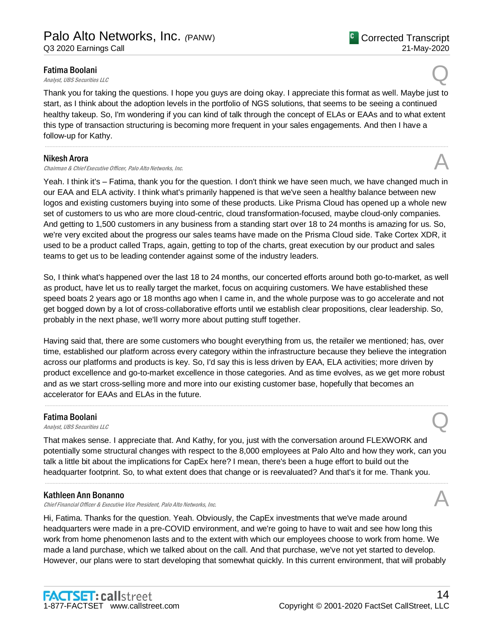#### Fatima Boolani

**Fatima Boolani**<br>Analyst, UBS Securities LLC

Thank you for taking the questions. I hope you guys are doing okay. I appreciate this format as well. Maybe just to start, as I think about the adoption levels in the portfolio of NGS solutions, that seems to be seeing a continued healthy takeup. So, I'm wondering if you can kind of talk through the concept of ELAs or EAAs and to what extent this type of transaction structuring is becoming more frequent in your sales engagements. And then I have a follow-up for Kathy.

.....................................................................................................................................................................................................................................................................

#### Nikesh Arora

Chairman & Chief Executive Officer, Palo Alto Networks, Inc.

Yeah. I think it's – Fatima, thank you for the question. I don't think we have seen much, we have changed much in our EAA and ELA activity. I think what's primarily happened is that we've seen a healthy balance between new logos and existing customers buying into some of these products. Like Prisma Cloud has opened up a whole new set of customers to us who are more cloud-centric, cloud transformation-focused, maybe cloud-only companies. And getting to 1,500 customers in any business from a standing start over 18 to 24 months is amazing for us. So, we're very excited about the progress our sales teams have made on the Prisma Cloud side. Take Cortex XDR, it used to be a product called Traps, again, getting to top of the charts, great execution by our product and sales teams to get us to be leading contender against some of the industry leaders.

So, I think what's happened over the last 18 to 24 months, our concerted efforts around both go-to-market, as well as product, have let us to really target the market, focus on acquiring customers. We have established these speed boats 2 years ago or 18 months ago when I came in, and the whole purpose was to go accelerate and not get bogged down by a lot of cross-collaborative efforts until we establish clear propositions, clear leadership. So, probably in the next phase, we'll worry more about putting stuff together.

Having said that, there are some customers who bought everything from us, the retailer we mentioned; has, over time, established our platform across every category within the infrastructure because they believe the integration across our platforms and products is key. So, I'd say this is less driven by EAA, ELA activities; more driven by product excellence and go-to-market excellence in those categories. And as time evolves, as we get more robust and as we start cross-selling more and more into our existing customer base, hopefully that becomes an accelerator for EAAs and ELAs in the future.

.....................................................................................................................................................................................................................................................................

#### Fatima Boolani

**Fatima Boolani**<br>Analyst, UBS Securities LLC

That makes sense. I appreciate that. And Kathy, for you, just with the conversation around FLEXWORK and potentially some structural changes with respect to the 8,000 employees at Palo Alto and how they work, can you talk a little bit about the implications for CapEx here? I mean, there's been a huge effort to build out the headquarter footprint. So, to what extent does that change or is reevaluated? And that's it for me. Thank you.

.....................................................................................................................................................................................................................................................................

#### Kathleen Ann Bonanno

Chief Financial Officer & Executive Vice President, Palo Alto Networks, Inc.

Hi, Fatima. Thanks for the question. Yeah. Obviously, the CapEx investments that we've made around headquarters were made in a pre-COVID environment, and we're going to have to wait and see how long this work from home phenomenon lasts and to the extent with which our employees choose to work from home. We made a land purchase, which we talked about on the call. And that purchase, we've not yet started to develop. However, our plans were to start developing that somewhat quickly. In this current environment, that will probably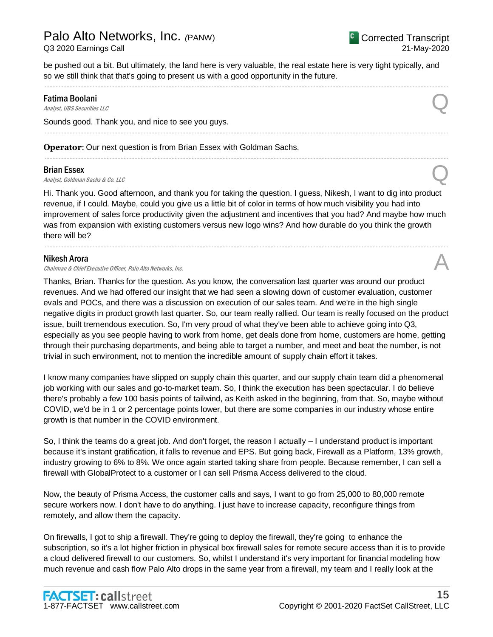be pushed out a bit. But ultimately, the land here is very valuable, the real estate here is very tight typically, and so we still think that that's going to present us with a good opportunity in the future.

.....................................................................................................................................................................................................................................................................

.....................................................................................................................................................................................................................................................................

.....................................................................................................................................................................................................................................................................

### Fatima Boolani **Fatima Boolani**<br>Analyst, UBS Securities LLC

Sounds good. Thank you, and nice to see you guys.

**Operator**: Our next question is from Brian Essex with Goldman Sachs.

#### Brian Essex

**Brian Essex**<br>Analyst, Goldman Sachs & Co. LLC

Hi. Thank you. Good afternoon, and thank you for taking the question. I guess, Nikesh, I want to dig into product revenue, if I could. Maybe, could you give us a little bit of color in terms of how much visibility you had into improvement of sales force productivity given the adjustment and incentives that you had? And maybe how much was from expansion with existing customers versus new logo wins? And how durable do you think the growth there will be?

.....................................................................................................................................................................................................................................................................

#### Nikesh Arora

Chairman & Chief Executive Officer, Palo Alto Networks, Inc. A

Thanks, Brian. Thanks for the question. As you know, the conversation last quarter was around our product revenues. And we had offered our insight that we had seen a slowing down of customer evaluation, customer evals and POCs, and there was a discussion on execution of our sales team. And we're in the high single negative digits in product growth last quarter. So, our team really rallied. Our team is really focused on the product issue, built tremendous execution. So, I'm very proud of what they've been able to achieve going into Q3, especially as you see people having to work from home, get deals done from home, customers are home, getting through their purchasing departments, and being able to target a number, and meet and beat the number, is not trivial in such environment, not to mention the incredible amount of supply chain effort it takes.

I know many companies have slipped on supply chain this quarter, and our supply chain team did a phenomenal job working with our sales and go-to-market team. So, I think the execution has been spectacular. I do believe there's probably a few 100 basis points of tailwind, as Keith asked in the beginning, from that. So, maybe without COVID, we'd be in 1 or 2 percentage points lower, but there are some companies in our industry whose entire growth is that number in the COVID environment.

So, I think the teams do a great job. And don't forget, the reason I actually – I understand product is important because it's instant gratification, it falls to revenue and EPS. But going back, Firewall as a Platform, 13% growth, industry growing to 6% to 8%. We once again started taking share from people. Because remember, I can sell a firewall with GlobalProtect to a customer or I can sell Prisma Access delivered to the cloud.

Now, the beauty of Prisma Access, the customer calls and says, I want to go from 25,000 to 80,000 remote secure workers now. I don't have to do anything. I just have to increase capacity, reconfigure things from remotely, and allow them the capacity.

On firewalls, I got to ship a firewall. They're going to deploy the firewall, they're going to enhance the subscription, so it's a lot higher friction in physical box firewall sales for remote secure access than it is to provide a cloud delivered firewall to our customers. So, whilst I understand it's very important for financial modeling how much revenue and cash flow Palo Alto drops in the same year from a firewall, my team and I really look at the

<sup>C</sup> Corrected Transcript

21-May-2020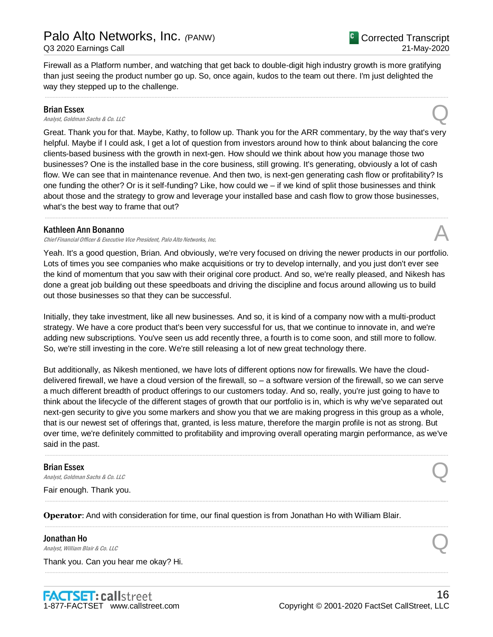Firewall as a Platform number, and watching that get back to double-digit high industry growth is more gratifying than just seeing the product number go up. So, once again, kudos to the team out there. I'm just delighted the way they stepped up to the challenge.

.....................................................................................................................................................................................................................................................................

#### Brian Essex

**Brian Essex**<br>Analyst, Goldman Sachs & Co. LLC

Great. Thank you for that. Maybe, Kathy, to follow up. Thank you for the ARR commentary, by the way that's very helpful. Maybe if I could ask, I get a lot of question from investors around how to think about balancing the core clients-based business with the growth in next-gen. How should we think about how you manage those two businesses? One is the installed base in the core business, still growing. It's generating, obviously a lot of cash flow. We can see that in maintenance revenue. And then two, is next-gen generating cash flow or profitability? Is one funding the other? Or is it self-funding? Like, how could we – if we kind of split those businesses and think about those and the strategy to grow and leverage your installed base and cash flow to grow those businesses, what's the best way to frame that out?

.....................................................................................................................................................................................................................................................................

#### Kathleen Ann Bonanno

Chief Financial Officer & Executive Vice President, Palo Alto Networks, Inc.

Yeah. It's a good question, Brian. And obviously, we're very focused on driving the newer products in our portfolio. Lots of times you see companies who make acquisitions or try to develop internally, and you just don't ever see the kind of momentum that you saw with their original core product. And so, we're really pleased, and Nikesh has done a great job building out these speedboats and driving the discipline and focus around allowing us to build out those businesses so that they can be successful.

Initially, they take investment, like all new businesses. And so, it is kind of a company now with a multi-product strategy. We have a core product that's been very successful for us, that we continue to innovate in, and we're adding new subscriptions. You've seen us add recently three, a fourth is to come soon, and still more to follow. So, we're still investing in the core. We're still releasing a lot of new great technology there.

But additionally, as Nikesh mentioned, we have lots of different options now for firewalls. We have the clouddelivered firewall, we have a cloud version of the firewall, so – a software version of the firewall, so we can serve a much different breadth of product offerings to our customers today. And so, really, you're just going to have to think about the lifecycle of the different stages of growth that our portfolio is in, which is why we've separated out next-gen security to give you some markers and show you that we are making progress in this group as a whole, that is our newest set of offerings that, granted, is less mature, therefore the margin profile is not as strong. But over time, we're definitely committed to profitability and improving overall operating margin performance, as we've said in the past.

.....................................................................................................................................................................................................................................................................

.....................................................................................................................................................................................................................................................................

.....................................................................................................................................................................................................................................................................

.....................................................................................................................................................................................................................................................................

#### Brian Essex

**Brian Essex**<br>Analyst, Goldman Sachs & Co. LLC

Fair enough. Thank you.

**Operator**: And with consideration for time, our final question is from Jonathan Ho with William Blair.

#### Jonathan Ho

**Jonathan Ho**<br>Analyst, William Blair & Co. LLC

Thank you. Can you hear me okay? Hi.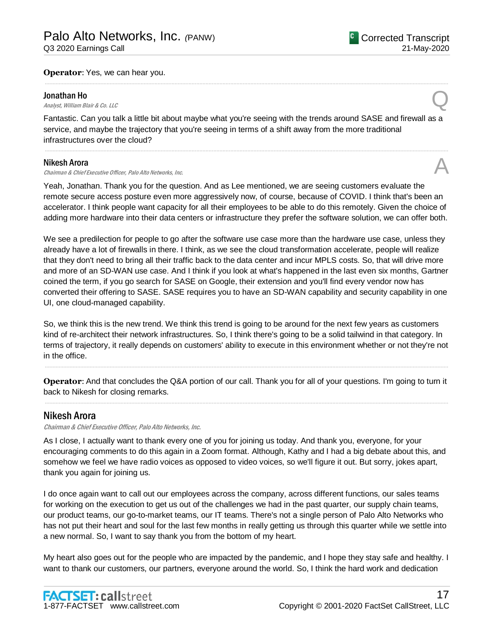#### **Operator**: Yes, we can hear you.

#### Jonathan Ho

**Jonathan Ho**<br>Analyst, William Blair & Co. LLC

Fantastic. Can you talk a little bit about maybe what you're seeing with the trends around SASE and firewall as a service, and maybe the trajectory that you're seeing in terms of a shift away from the more traditional infrastructures over the cloud?

.....................................................................................................................................................................................................................................................................

.....................................................................................................................................................................................................................................................................

#### Nikesh Arora

#### Chairman & Chief Executive Officer, Palo Alto Networks, Inc.

Yeah, Jonathan. Thank you for the question. And as Lee mentioned, we are seeing customers evaluate the remote secure access posture even more aggressively now, of course, because of COVID. I think that's been an accelerator. I think people want capacity for all their employees to be able to do this remotely. Given the choice of adding more hardware into their data centers or infrastructure they prefer the software solution, we can offer both.

We see a predilection for people to go after the software use case more than the hardware use case, unless they already have a lot of firewalls in there. I think, as we see the cloud transformation accelerate, people will realize that they don't need to bring all their traffic back to the data center and incur MPLS costs. So, that will drive more and more of an SD-WAN use case. And I think if you look at what's happened in the last even six months, Gartner coined the term, if you go search for SASE on Google, their extension and you'll find every vendor now has converted their offering to SASE. SASE requires you to have an SD-WAN capability and security capability in one UI, one cloud-managed capability.

So, we think this is the new trend. We think this trend is going to be around for the next few years as customers kind of re-architect their network infrastructures. So, I think there's going to be a solid tailwind in that category. In terms of trajectory, it really depends on customers' ability to execute in this environment whether or not they're not in the office.

**Operator**: And that concludes the Q&A portion of our call. Thank you for all of your questions. I'm going to turn it back to Nikesh for closing remarks. .....................................................................................................................................................................................................................................................................

.....................................................................................................................................................................................................................................................................

### Nikesh Arora

Chairman & Chief Executive Officer, Palo Alto Networks, Inc.

As I close, I actually want to thank every one of you for joining us today. And thank you, everyone, for your encouraging comments to do this again in a Zoom format. Although, Kathy and I had a big debate about this, and somehow we feel we have radio voices as opposed to video voices, so we'll figure it out. But sorry, jokes apart, thank you again for joining us.

I do once again want to call out our employees across the company, across different functions, our sales teams for working on the execution to get us out of the challenges we had in the past quarter, our supply chain teams, our product teams, our go-to-market teams, our IT teams. There's not a single person of Palo Alto Networks who has not put their heart and soul for the last few months in really getting us through this quarter while we settle into a new normal. So, I want to say thank you from the bottom of my heart.

My heart also goes out for the people who are impacted by the pandemic, and I hope they stay safe and healthy. I want to thank our customers, our partners, everyone around the world. So, I think the hard work and dedication